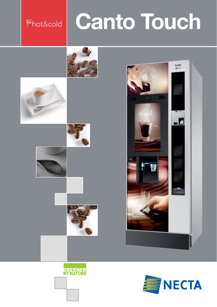## Fhot&cold

# **Canto Touch**



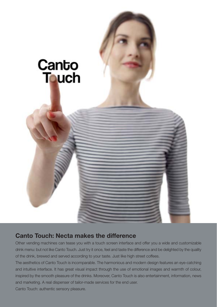

### **Canto Touch: Necta makes the difference**

Other vending machines can tease you with a touch screen interface and offer you a wide and customizable drink menu: but not like Canto Touch. Just try it once, feel and taste the difference and be delighted by the quality of the drink, brewed and served according to your taste. Just like high street coffees.

The aesthetics of Canto Touch is incomparable. The harmonious and modern design features an eye-catching and intuitive interface. It has great visual impact through the use of emotional images and warmth of colour, inspired by the smooth pleasure of the drinks. Moreover, Canto Touch is also entertainment, information, news and marketing. A real dispenser of tailor-made services for the end user. Canto Touch: authentic sensory pleasure.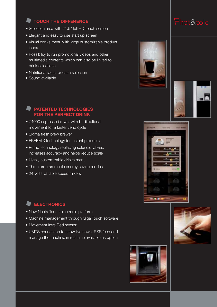#### **TOUCH THE DIFFERENCE**

- Selection area with 21.5" full HD touch screen
- Elegant and easy to use start up screen
- Visual drinks menu with large customizable product icons
- Possibility to run promotional videos and other multimedia contents which can also be linked to drink selections
- Nutritional facts for each selection
- Sound available

#### **PATENTED TECHNOLOGIES FOR THE PERFECT DRINK**

- Z4000 espresso brewer with bi-directional movement for a faster vend cycle
- Sigma fresh brew brewer
- FREEMIX technology for instant products
- Pump technology replacing solenoid valves, increases accuracy and helps reduce scale
- Highly customizable drinks menu
- Three programmable energy saving modes
- 24 volts variable speed mixers

#### **ELECTRONICS**

- New Necta Touch electronic platform
- Machine management through Giga Touch software
- Movement Infra Red sensor
- UMTS connection to show live news, RSS feed and manage the machine in real time available as option











## Fhot&cold